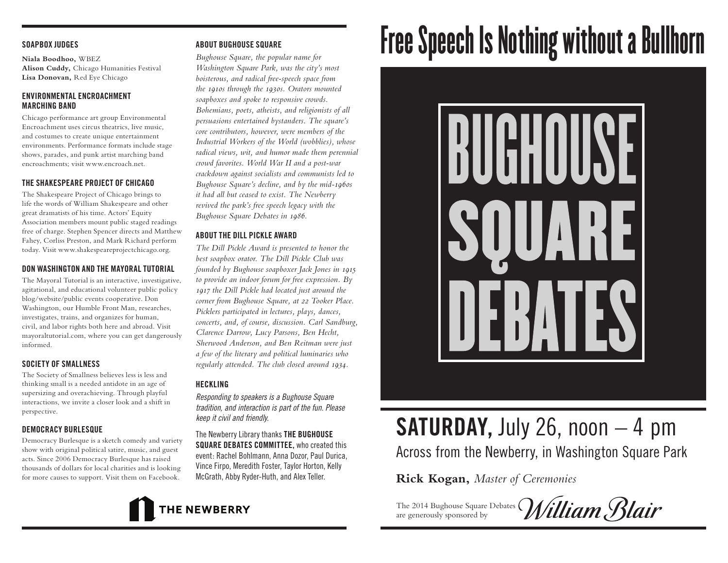## **SOAPBOX JUDGES**

**Niala Boodhoo,** WBEZ **Alison Cuddy,** Chicago Humanities Festival **Lisa Donovan,** Red Eye Chicago

#### **ENVIRONMENTAL ENCROACHMENT MARCHING BAND**

Chicago performance art group Environmental Encroachment uses circus theatrics, live music, and costumes to create unique entertainment environments. Performance formats include stage shows, parades, and punk artist marching band encroachments; visit www.encroach.net.

## **THE SHAKESPEARE PROJECT OF CHICAGO**

The Shakespeare Project of Chicago brings to life the words of William Shakespeare and other great dramatists of his time. Actors' Equity Association members mount public staged readings free of charge. Stephen Spencer directs and Matthew Fahey, Corliss Preston, and Mark Richard perform today. Visit www.shakespeareprojectchicago.org.

## **DON WASHINGTON AND THE MAYORAL TUTORIAL**

The Mayoral Tutorial is an interactive, investigative, agitational, and educational volunteer public policy blog/website/public events cooperative. Don Washington, our Humble Front Man, researches, investigates, trains, and organizes for human, civil, and labor rights both here and abroad. Visit mayoraltutorial.com, where you can get dangerously informed.

## **SOCIETY OF SMALLNESS**

The Society of Smallness believes less is less and thinking small is a needed antidote in an age of supersizing and overachieving. Through playful interactions, we invite a closer look and a shift in perspective.

#### **DEMOCRACY BURLESQUE**

Democracy Burlesque is a sketch comedy and variety show with original political satire, music, and guest acts. Since 2006 Democracy Burlesque has raised thousands of dollars for local charities and is looking for more causes to support. Visit them on Facebook.

## **ABOUT BUGHOUSE SQUARE**

*Bughouse Square, the popular name for Washington Square Park, was the city's most boisterous, and radical free-speech space from the 1910s through the 1930s. Orators mounted soapboxes and spoke to responsive crowds. Bohemians, poets, atheists, and religionists of all persuasions entertained bystanders. The square's core contributors, however, were members of the Industrial Workers of the World (wobblies), whose radical views, wit, and humor made them perennial crowd favorites. World War II and a post-war crackdown against socialists and communists led to Bughouse Square's decline, and by the mid-1960s it had all but ceased to exist. The Newberry revived the park's free speech legacy with the Bughouse Square Debates in 1986.* 

## **ABOUT THE DILL PICKLE AWARD**

*The Dill Pickle Award is presented to honor the best soapbox orator. The Dill Pickle Club was founded by Bughouse soapboxer Jack Jones in 1915 to provide an indoor forum for free expression. By 1917 the Dill Pickle had located just around the corner from Bughouse Square, at 22 Tooker Place. Picklers participated in lectures, plays, dances, concerts, and, of course, discussion. Carl Sandburg, Clarence Darrow, Lucy Parsons, Ben Hecht, Sherwood Anderson, and Ben Reitman were just a few of the literary and political luminaries who regularly attended. The club closed around 1934.*

## **HECKLING**

*Responding to speakers is a Bughouse Square tradition, and interaction is part of the fun. Please keep it civil and friendly.*

The Newberry Library thanks **THE BUGHOUSE SQUARE DEBATES COMMITTEE,** who created this event: Rachel Bohlmann, Anna Dozor, Paul Durica, Vince Firpo, Meredith Foster, Taylor Horton, Kelly McGrath, Abby Ryder-Huth, and Alex Teller.



# Free Speech Is Nothing without a Bullhorn



## **SATURDAY,** July 26, noon – 4 pm

Across from the Newberry, in Washington Square Park

**Rick Kogan,** *Master of Ceremonies*

The 2014 Bughouse Square Debates are generously sponsored by